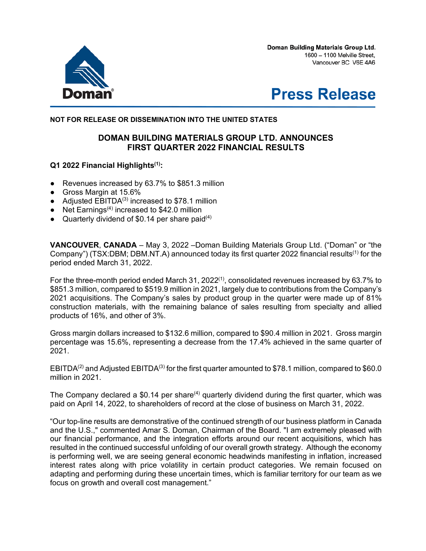Doman Building Materials Group Ltd. 1600 - 1100 Melville Street, Vancouver BC V6E 4A6





### **NOT FOR RELEASE OR DISSEMINATION INTO THE UNITED STATES**

# **DOMAN BUILDING MATERIALS GROUP LTD. ANNOUNCES FIRST QUARTER 2022 FINANCIAL RESULTS**

### **Q1 2022 Financial Highlights(1):**

- Revenues increased by 63.7% to \$851.3 million
- Gross Margin at 15.6%
- Adjusted  $EBITDA<sup>(3)</sup>$  increased to \$78.1 million
- Net Earnings<sup>(4)</sup> increased to \$42.0 million
- Quarterly dividend of \$0.14 per share paid $(4)$

**VANCOUVER**, **CANADA** – May 3, 2022 –Doman Building Materials Group Ltd. ("Doman" or "the Company") (TSX:DBM; DBM.NT.A) announced today its first quarter 2022 financial results<sup>(1)</sup> for the period ended March 31, 2022.

For the three-month period ended March 31, 2022<sup>(1)</sup>, consolidated revenues increased by 63.7% to \$851.3 million, compared to \$519.9 million in 2021, largely due to contributions from the Company's 2021 acquisitions. The Company's sales by product group in the quarter were made up of 81% construction materials, with the remaining balance of sales resulting from specialty and allied products of 16%, and other of 3%.

Gross margin dollars increased to \$132.6 million, compared to \$90.4 million in 2021. Gross margin percentage was 15.6%, representing a decrease from the 17.4% achieved in the same quarter of 2021.

EBITDA<sup>(2)</sup> and Adjusted EBITDA<sup>(3)</sup> for the first quarter amounted to \$78.1 million, compared to \$60.0 million in 2021.

The Company declared a \$0.14 per share<sup> $(4)$ </sup> quarterly dividend during the first quarter, which was paid on April 14, 2022, to shareholders of record at the close of business on March 31, 2022.

"Our top-line results are demonstrative of the continued strength of our business platform in Canada and the U.S.," commented Amar S. Doman, Chairman of the Board. "I am extremely pleased with our financial performance, and the integration efforts around our recent acquisitions, which has resulted in the continued successful unfolding of our overall growth strategy. Although the economy is performing well, we are seeing general economic headwinds manifesting in inflation, increased interest rates along with price volatility in certain product categories. We remain focused on adapting and performing during these uncertain times, which is familiar territory for our team as we focus on growth and overall cost management."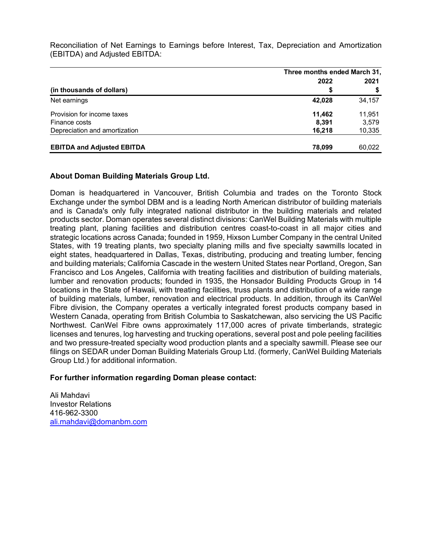Reconciliation of Net Earnings to Earnings before Interest, Tax, Depreciation and Amortization (EBITDA) and Adjusted EBITDA:

|                                   | Three months ended March 31, |        |
|-----------------------------------|------------------------------|--------|
|                                   | 2022                         | 2021   |
| (in thousands of dollars)         | S                            |        |
| Net earnings                      | 42,028                       | 34,157 |
| Provision for income taxes        | 11.462                       | 11.951 |
| Finance costs                     | 8.391                        | 3,579  |
| Depreciation and amortization     | 16,218                       | 10,335 |
| <b>EBITDA and Adjusted EBITDA</b> | 78,099                       | 60,022 |

## **About Doman Building Materials Group Ltd.**

Doman is headquartered in Vancouver, British Columbia and trades on the Toronto Stock Exchange under the symbol DBM and is a leading North American distributor of building materials and is Canada's only fully integrated national distributor in the building materials and related products sector. Doman operates several distinct divisions: CanWel Building Materials with multiple treating plant, planing facilities and distribution centres coast-to-coast in all major cities and strategic locations across Canada; founded in 1959, Hixson Lumber Company in the central United States, with 19 treating plants, two specialty planing mills and five specialty sawmills located in eight states, headquartered in Dallas, Texas, distributing, producing and treating lumber, fencing and building materials; California Cascade in the western United States near Portland, Oregon, San Francisco and Los Angeles, California with treating facilities and distribution of building materials, lumber and renovation products; founded in 1935, the Honsador Building Products Group in 14 locations in the State of Hawaii, with treating facilities, truss plants and distribution of a wide range of building materials, lumber, renovation and electrical products. In addition, through its CanWel Fibre division, the Company operates a vertically integrated forest products company based in Western Canada, operating from British Columbia to Saskatchewan, also servicing the US Pacific Northwest. CanWel Fibre owns approximately 117,000 acres of private timberlands, strategic licenses and tenures, log harvesting and trucking operations, several post and pole peeling facilities and two pressure-treated specialty wood production plants and a specialty sawmill. Please see our filings on SEDAR under Doman Building Materials Group Ltd. (formerly, CanWel Building Materials Group Ltd.) for additional information.

### **For further information regarding Doman please contact:**

Ali Mahdavi Investor Relations 416-962-3300 ali.mahdavi@domanbm.com